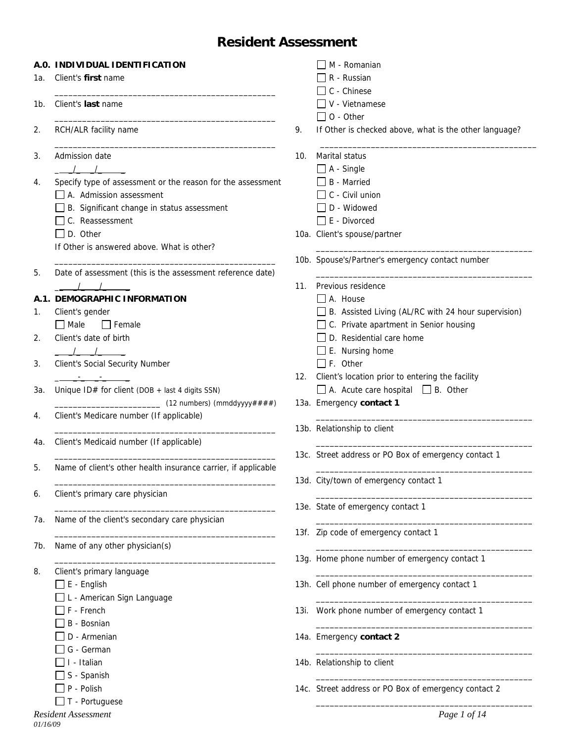# **Resident Assessment**

|     | A.O. INDIVIDUAL IDENTIFICATION                                 |     | M - Romanian                                               |
|-----|----------------------------------------------------------------|-----|------------------------------------------------------------|
| 1а. | Client's first name                                            |     | R - Russian                                                |
|     |                                                                |     | C - Chinese                                                |
| 1b. | Client's last name                                             |     | $\Box$ V - Vietnamese                                      |
|     |                                                                |     | $\Box$ O - Other                                           |
| 2.  | RCH/ALR facility name                                          | 9.  | If Other is checked above, what is the other language?     |
| 3.  | Admission date                                                 | 10. | Marital status                                             |
|     | $\sqrt{2}$                                                     |     | $\Box$ A - Single                                          |
| 4.  | Specify type of assessment or the reason for the assessment    |     | $\Box$ B - Married                                         |
|     | $\Box$ A. Admission assessment                                 |     | $\Box$ C - Civil union                                     |
|     | B. Significant change in status assessment                     |     | D - Widowed                                                |
|     | $\Box$ C. Reassessment                                         |     | $\Box$ E - Divorced                                        |
|     | $\Box$ D. Other                                                |     | 10a. Client's spouse/partner                               |
|     | If Other is answered above. What is other?                     |     |                                                            |
|     |                                                                |     | 10b. Spouse's/Partner's emergency contact number           |
| 5.  | Date of assessment (this is the assessment reference date)     |     |                                                            |
|     | $\frac{1}{2}$                                                  |     | 11. Previous residence                                     |
|     | A.1. DEMOGRAPHIC INFORMATION                                   |     | $A.$ House                                                 |
| 1.  | Client's gender                                                |     | $\Box$ B. Assisted Living (AL/RC with 24 hour supervision) |
|     | $\Box$ Male<br>$\Box$ Female                                   |     | □ C. Private apartment in Senior housing                   |
| 2.  | Client's date of birth                                         |     | D. Residential care home                                   |
|     | $\frac{1}{\sqrt{2}}$                                           |     | $\Box$ E. Nursing home                                     |
| 3.  | Client's Social Security Number                                |     | $\Box$ F. Other                                            |
|     |                                                                | 12. | Client's location prior to entering the facility           |
| За. | Unique ID# for client (DOB + last 4 digits SSN)                |     | $\Box$ A. Acute care hospital $\Box$ B. Other              |
|     | (12 numbers) (mmddyyyy####)                                    |     | 13a. Emergency contact 1                                   |
| 4.  | Client's Medicare number (If applicable)                       |     |                                                            |
|     |                                                                |     | 13b. Relationship to client                                |
|     | Client's Medicaid number (If applicable)                       |     |                                                            |
| 4а. |                                                                |     | 13c. Street address or PO Box of emergency contact 1       |
|     | Name of client's other health insurance carrier, if applicable |     |                                                            |
| 5.  |                                                                |     | 13d. City/town of emergency contact 1                      |
|     |                                                                |     |                                                            |
| 6.  | Client's primary care physician                                |     |                                                            |
|     |                                                                |     | 13e. State of emergency contact 1                          |
| 7а. | Name of the client's secondary care physician                  |     |                                                            |
|     |                                                                |     | 13f. Zip code of emergency contact 1                       |
| 7b. | Name of any other physician(s)                                 |     |                                                            |
|     |                                                                |     | 13g. Home phone number of emergency contact 1              |
| 8.  | Client's primary language                                      |     |                                                            |
|     | $\Box$ E - English                                             |     | 13h. Cell phone number of emergency contact 1              |
|     | L - American Sign Language                                     |     |                                                            |
|     | F - French                                                     |     | 13i. Work phone number of emergency contact 1              |
|     | B - Bosnian                                                    |     |                                                            |
|     | D - Armenian                                                   |     | 14a. Emergency contact 2                                   |
|     | G - German                                                     |     |                                                            |
|     | I - Italian                                                    |     | 14b. Relationship to client                                |
|     | S - Spanish                                                    |     |                                                            |
|     | P - Polish                                                     |     | 14c. Street address or PO Box of emergency contact 2       |
|     | $\Box$ T - Portuguese                                          |     |                                                            |
|     | <b>Resident Assessment</b>                                     |     | Page 1 of 14                                               |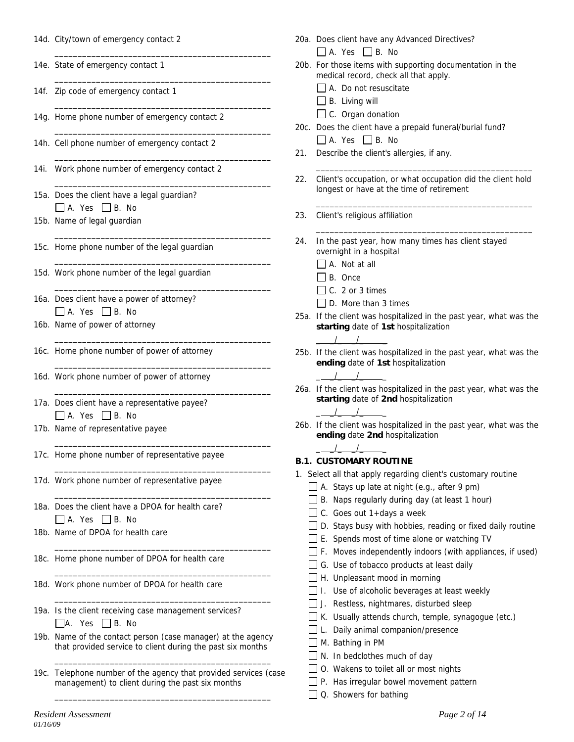|  |  |  | 14d. City/town of emergency contact 2 |  |
|--|--|--|---------------------------------------|--|
|--|--|--|---------------------------------------|--|

14e. State of emergency contact 1

14f. Zip code of emergency contact 1

14g. Home phone number of emergency contact 2

\_\_\_\_\_\_\_\_\_\_\_\_\_\_\_\_\_\_\_\_\_\_\_\_\_\_\_\_\_\_\_\_\_\_\_\_\_\_\_\_\_\_\_\_\_\_\_

 $\frac{1}{2}$  ,  $\frac{1}{2}$  ,  $\frac{1}{2}$  ,  $\frac{1}{2}$  ,  $\frac{1}{2}$  ,  $\frac{1}{2}$  ,  $\frac{1}{2}$  ,  $\frac{1}{2}$  ,  $\frac{1}{2}$  ,  $\frac{1}{2}$  ,  $\frac{1}{2}$  ,  $\frac{1}{2}$  ,  $\frac{1}{2}$  ,  $\frac{1}{2}$  ,  $\frac{1}{2}$  ,  $\frac{1}{2}$  ,  $\frac{1}{2}$  ,  $\frac{1}{2}$  ,  $\frac{1$ 

 $\frac{1}{2}$  ,  $\frac{1}{2}$  ,  $\frac{1}{2}$  ,  $\frac{1}{2}$  ,  $\frac{1}{2}$  ,  $\frac{1}{2}$  ,  $\frac{1}{2}$  ,  $\frac{1}{2}$  ,  $\frac{1}{2}$  ,  $\frac{1}{2}$  ,  $\frac{1}{2}$  ,  $\frac{1}{2}$  ,  $\frac{1}{2}$  ,  $\frac{1}{2}$  ,  $\frac{1}{2}$  ,  $\frac{1}{2}$  ,  $\frac{1}{2}$  ,  $\frac{1}{2}$  ,  $\frac{1$ 

 $\frac{1}{2}$  ,  $\frac{1}{2}$  ,  $\frac{1}{2}$  ,  $\frac{1}{2}$  ,  $\frac{1}{2}$  ,  $\frac{1}{2}$  ,  $\frac{1}{2}$  ,  $\frac{1}{2}$  ,  $\frac{1}{2}$  ,  $\frac{1}{2}$  ,  $\frac{1}{2}$  ,  $\frac{1}{2}$  ,  $\frac{1}{2}$  ,  $\frac{1}{2}$  ,  $\frac{1}{2}$  ,  $\frac{1}{2}$  ,  $\frac{1}{2}$  ,  $\frac{1}{2}$  ,  $\frac{1$ 

 $\frac{1}{2}$  ,  $\frac{1}{2}$  ,  $\frac{1}{2}$  ,  $\frac{1}{2}$  ,  $\frac{1}{2}$  ,  $\frac{1}{2}$  ,  $\frac{1}{2}$  ,  $\frac{1}{2}$  ,  $\frac{1}{2}$  ,  $\frac{1}{2}$  ,  $\frac{1}{2}$  ,  $\frac{1}{2}$  ,  $\frac{1}{2}$  ,  $\frac{1}{2}$  ,  $\frac{1}{2}$  ,  $\frac{1}{2}$  ,  $\frac{1}{2}$  ,  $\frac{1}{2}$  ,  $\frac{1$ 

 $\frac{1}{2}$  ,  $\frac{1}{2}$  ,  $\frac{1}{2}$  ,  $\frac{1}{2}$  ,  $\frac{1}{2}$  ,  $\frac{1}{2}$  ,  $\frac{1}{2}$  ,  $\frac{1}{2}$  ,  $\frac{1}{2}$  ,  $\frac{1}{2}$  ,  $\frac{1}{2}$  ,  $\frac{1}{2}$  ,  $\frac{1}{2}$  ,  $\frac{1}{2}$  ,  $\frac{1}{2}$  ,  $\frac{1}{2}$  ,  $\frac{1}{2}$  ,  $\frac{1}{2}$  ,  $\frac{1$ 

 $\frac{1}{2}$  ,  $\frac{1}{2}$  ,  $\frac{1}{2}$  ,  $\frac{1}{2}$  ,  $\frac{1}{2}$  ,  $\frac{1}{2}$  ,  $\frac{1}{2}$  ,  $\frac{1}{2}$  ,  $\frac{1}{2}$  ,  $\frac{1}{2}$  ,  $\frac{1}{2}$  ,  $\frac{1}{2}$  ,  $\frac{1}{2}$  ,  $\frac{1}{2}$  ,  $\frac{1}{2}$  ,  $\frac{1}{2}$  ,  $\frac{1}{2}$  ,  $\frac{1}{2}$  ,  $\frac{1$ 

 $\overline{\phantom{a}}$  ,  $\overline{\phantom{a}}$  ,  $\overline{\phantom{a}}$  ,  $\overline{\phantom{a}}$  ,  $\overline{\phantom{a}}$  ,  $\overline{\phantom{a}}$  ,  $\overline{\phantom{a}}$  ,  $\overline{\phantom{a}}$  ,  $\overline{\phantom{a}}$  ,  $\overline{\phantom{a}}$  ,  $\overline{\phantom{a}}$  ,  $\overline{\phantom{a}}$  ,  $\overline{\phantom{a}}$  ,  $\overline{\phantom{a}}$  ,  $\overline{\phantom{a}}$  ,  $\overline{\phantom{a}}$ 

 $\overline{\phantom{a}}$  ,  $\overline{\phantom{a}}$  ,  $\overline{\phantom{a}}$  ,  $\overline{\phantom{a}}$  ,  $\overline{\phantom{a}}$  ,  $\overline{\phantom{a}}$  ,  $\overline{\phantom{a}}$  ,  $\overline{\phantom{a}}$  ,  $\overline{\phantom{a}}$  ,  $\overline{\phantom{a}}$  ,  $\overline{\phantom{a}}$  ,  $\overline{\phantom{a}}$  ,  $\overline{\phantom{a}}$  ,  $\overline{\phantom{a}}$  ,  $\overline{\phantom{a}}$  ,  $\overline{\phantom{a}}$ 

 $\overline{\phantom{a}}$  ,  $\overline{\phantom{a}}$  ,  $\overline{\phantom{a}}$  ,  $\overline{\phantom{a}}$  ,  $\overline{\phantom{a}}$  ,  $\overline{\phantom{a}}$  ,  $\overline{\phantom{a}}$  ,  $\overline{\phantom{a}}$  ,  $\overline{\phantom{a}}$  ,  $\overline{\phantom{a}}$  ,  $\overline{\phantom{a}}$  ,  $\overline{\phantom{a}}$  ,  $\overline{\phantom{a}}$  ,  $\overline{\phantom{a}}$  ,  $\overline{\phantom{a}}$  ,  $\overline{\phantom{a}}$ 

 $\overline{\phantom{a}}$  ,  $\overline{\phantom{a}}$  ,  $\overline{\phantom{a}}$  ,  $\overline{\phantom{a}}$  ,  $\overline{\phantom{a}}$  ,  $\overline{\phantom{a}}$  ,  $\overline{\phantom{a}}$  ,  $\overline{\phantom{a}}$  ,  $\overline{\phantom{a}}$  ,  $\overline{\phantom{a}}$  ,  $\overline{\phantom{a}}$  ,  $\overline{\phantom{a}}$  ,  $\overline{\phantom{a}}$  ,  $\overline{\phantom{a}}$  ,  $\overline{\phantom{a}}$  ,  $\overline{\phantom{a}}$ 

 $\overline{\phantom{a}}$  ,  $\overline{\phantom{a}}$  ,  $\overline{\phantom{a}}$  ,  $\overline{\phantom{a}}$  ,  $\overline{\phantom{a}}$  ,  $\overline{\phantom{a}}$  ,  $\overline{\phantom{a}}$  ,  $\overline{\phantom{a}}$  ,  $\overline{\phantom{a}}$  ,  $\overline{\phantom{a}}$  ,  $\overline{\phantom{a}}$  ,  $\overline{\phantom{a}}$  ,  $\overline{\phantom{a}}$  ,  $\overline{\phantom{a}}$  ,  $\overline{\phantom{a}}$  ,  $\overline{\phantom{a}}$ 

 $\overline{\phantom{a}}$  ,  $\overline{\phantom{a}}$  ,  $\overline{\phantom{a}}$  ,  $\overline{\phantom{a}}$  ,  $\overline{\phantom{a}}$  ,  $\overline{\phantom{a}}$  ,  $\overline{\phantom{a}}$  ,  $\overline{\phantom{a}}$  ,  $\overline{\phantom{a}}$  ,  $\overline{\phantom{a}}$  ,  $\overline{\phantom{a}}$  ,  $\overline{\phantom{a}}$  ,  $\overline{\phantom{a}}$  ,  $\overline{\phantom{a}}$  ,  $\overline{\phantom{a}}$  ,  $\overline{\phantom{a}}$ 

 $\overline{\phantom{a}}$  ,  $\overline{\phantom{a}}$  ,  $\overline{\phantom{a}}$  ,  $\overline{\phantom{a}}$  ,  $\overline{\phantom{a}}$  ,  $\overline{\phantom{a}}$  ,  $\overline{\phantom{a}}$  ,  $\overline{\phantom{a}}$  ,  $\overline{\phantom{a}}$  ,  $\overline{\phantom{a}}$  ,  $\overline{\phantom{a}}$  ,  $\overline{\phantom{a}}$  ,  $\overline{\phantom{a}}$  ,  $\overline{\phantom{a}}$  ,  $\overline{\phantom{a}}$  ,  $\overline{\phantom{a}}$ 

 $\overline{\phantom{a}}$  ,  $\overline{\phantom{a}}$  ,  $\overline{\phantom{a}}$  ,  $\overline{\phantom{a}}$  ,  $\overline{\phantom{a}}$  ,  $\overline{\phantom{a}}$  ,  $\overline{\phantom{a}}$  ,  $\overline{\phantom{a}}$  ,  $\overline{\phantom{a}}$  ,  $\overline{\phantom{a}}$  ,  $\overline{\phantom{a}}$  ,  $\overline{\phantom{a}}$  ,  $\overline{\phantom{a}}$  ,  $\overline{\phantom{a}}$  ,  $\overline{\phantom{a}}$  ,  $\overline{\phantom{a}}$ 

 $\frac{1}{2}$  ,  $\frac{1}{2}$  ,  $\frac{1}{2}$  ,  $\frac{1}{2}$  ,  $\frac{1}{2}$  ,  $\frac{1}{2}$  ,  $\frac{1}{2}$  ,  $\frac{1}{2}$  ,  $\frac{1}{2}$  ,  $\frac{1}{2}$  ,  $\frac{1}{2}$  ,  $\frac{1}{2}$  ,  $\frac{1}{2}$  ,  $\frac{1}{2}$  ,  $\frac{1}{2}$  ,  $\frac{1}{2}$  ,  $\frac{1}{2}$  ,  $\frac{1}{2}$  ,  $\frac{1$ 

 $\frac{1}{2}$  ,  $\frac{1}{2}$  ,  $\frac{1}{2}$  ,  $\frac{1}{2}$  ,  $\frac{1}{2}$  ,  $\frac{1}{2}$  ,  $\frac{1}{2}$  ,  $\frac{1}{2}$  ,  $\frac{1}{2}$  ,  $\frac{1}{2}$  ,  $\frac{1}{2}$  ,  $\frac{1}{2}$  ,  $\frac{1}{2}$  ,  $\frac{1}{2}$  ,  $\frac{1}{2}$  ,  $\frac{1}{2}$  ,  $\frac{1}{2}$  ,  $\frac{1}{2}$  ,  $\frac{1$ 

 $\frac{1}{2}$  ,  $\frac{1}{2}$  ,  $\frac{1}{2}$  ,  $\frac{1}{2}$  ,  $\frac{1}{2}$  ,  $\frac{1}{2}$  ,  $\frac{1}{2}$  ,  $\frac{1}{2}$  ,  $\frac{1}{2}$  ,  $\frac{1}{2}$  ,  $\frac{1}{2}$  ,  $\frac{1}{2}$  ,  $\frac{1}{2}$  ,  $\frac{1}{2}$  ,  $\frac{1}{2}$  ,  $\frac{1}{2}$  ,  $\frac{1}{2}$  ,  $\frac{1}{2}$  ,  $\frac{1$ 

- 14h. Cell phone number of emergency contact 2
- 14i. Work phone number of emergency contact 2
- 15a. Does the client have a legal guardian?  $\Box$  A. Yes  $\Box$  B. No
- 15b. Name of legal guardian
- 15c. Home phone number of the legal guardian
- 15d. Work phone number of the legal guardian
- 16a. Does client have a power of attorney?  $\Box$  A. Yes  $\Box$  B. No
- 16b. Name of power of attorney
- 16c. Home phone number of power of attorney
- 16d. Work phone number of power of attorney
- 17a. Does client have a representative payee?  $\Box$  A. Yes  $\Box$  B. No
- 17b. Name of representative payee
- 17c. Home phone number of representative payee
- 17d. Work phone number of representative payee
- 18a. Does the client have a DPOA for health care?  $\Box$  A. Yes  $\Box$  B. No
- 18b. Name of DPOA for health care
- 18c. Home phone number of DPOA for health care
- 18d. Work phone number of DPOA for health care
- 19a. Is the client receiving case management services?  $\Box$ A. Yes  $\Box$  B. No
- 19b. Name of the contact person (case manager) at the agency that provided service to client during the past six months
- 19c. Telephone number of the agency that provided services (case management) to client during the past six months

\_\_\_\_\_\_\_\_\_\_\_\_\_\_\_\_\_\_\_\_\_\_\_\_\_\_\_\_\_\_\_\_\_\_\_\_\_\_\_\_\_\_\_\_\_\_\_

\_\_\_\_\_\_\_\_\_\_\_\_\_\_\_\_\_\_\_\_\_\_\_\_\_\_\_\_\_\_\_\_\_\_\_\_\_\_\_\_\_\_\_\_\_\_\_

- 20a. Does client have any Advanced Directives?  $\Box$  A. Yes  $\Box$  B. No
- 20b. For those items with supporting documentation in the medical record, check all that apply.
	- A. Do not resuscitate
	- **B.** Living will
	- $\Box$  C. Organ donation
- 20c. Does the client have a prepaid funeral/burial fund?  $\Box$  A. Yes  $\Box$  B. No
- 21. Describe the client's allergies, if any.
- 22. Client's occupation, or what occupation did the client hold longest or have at the time of retirement

\_\_\_\_\_\_\_\_\_\_\_\_\_\_\_\_\_\_\_\_\_\_\_\_\_\_\_\_\_\_\_\_\_\_\_\_\_\_\_\_\_\_\_\_\_\_\_

\_\_\_\_\_\_\_\_\_\_\_\_\_\_\_\_\_\_\_\_\_\_\_\_\_\_\_\_\_\_\_\_\_\_\_\_\_\_\_\_\_\_\_\_\_\_\_

\_\_\_\_\_\_\_\_\_\_\_\_\_\_\_\_\_\_\_\_\_\_\_\_\_\_\_\_\_\_\_\_\_\_\_\_\_\_\_\_\_\_\_\_\_\_\_

- 23. Client's religious affiliation
- 24. In the past year, how many times has client stayed overnight in a hospital
	- $\Box$  A. Not at all
	- B. Once
	- $\Box$  C. 2 or 3 times
	- $\Box$  D. More than 3 times
- 25a. If the client was hospitalized in the past year, what was the **starting** date of **1st** hospitalization
	- $\frac{1}{2}$   $\frac{1}{2}$   $\frac{1}{2}$   $\frac{1}{2}$   $\frac{1}{2}$   $\frac{1}{2}$   $\frac{1}{2}$   $\frac{1}{2}$   $\frac{1}{2}$   $\frac{1}{2}$   $\frac{1}{2}$   $\frac{1}{2}$   $\frac{1}{2}$   $\frac{1}{2}$   $\frac{1}{2}$   $\frac{1}{2}$   $\frac{1}{2}$   $\frac{1}{2}$   $\frac{1}{2}$   $\frac{1}{2}$   $\frac{1}{2}$   $\frac{1}{2}$
- 25b. If the client was hospitalized in the past year, what was the **ending** date of **1st** hospitalization
	- $\frac{1}{2}$   $\frac{1}{2}$   $\frac{1}{2}$   $\frac{1}{2}$   $\frac{1}{2}$   $\frac{1}{2}$   $\frac{1}{2}$   $\frac{1}{2}$   $\frac{1}{2}$   $\frac{1}{2}$   $\frac{1}{2}$   $\frac{1}{2}$   $\frac{1}{2}$   $\frac{1}{2}$   $\frac{1}{2}$   $\frac{1}{2}$   $\frac{1}{2}$   $\frac{1}{2}$   $\frac{1}{2}$   $\frac{1}{2}$   $\frac{1}{2}$   $\frac{1}{2}$
- 26a. If the client was hospitalized in the past year, what was the **starting** date of **2nd** hospitalization
- 26b. If the client was hospitalized in the past year, what was the **ending** date **2nd** hospitalization

#### $\frac{1}{2}$   $\frac{1}{2}$   $\frac{1}{2}$   $\frac{1}{2}$   $\frac{1}{2}$   $\frac{1}{2}$   $\frac{1}{2}$   $\frac{1}{2}$   $\frac{1}{2}$   $\frac{1}{2}$   $\frac{1}{2}$   $\frac{1}{2}$   $\frac{1}{2}$   $\frac{1}{2}$   $\frac{1}{2}$   $\frac{1}{2}$   $\frac{1}{2}$   $\frac{1}{2}$   $\frac{1}{2}$   $\frac{1}{2}$   $\frac{1}{2}$   $\frac{1}{2}$  **B.1. CUSTOMARY ROUTINE**

 $\frac{1}{2}$   $\frac{1}{2}$   $\frac{1}{2}$   $\frac{1}{2}$   $\frac{1}{2}$   $\frac{1}{2}$   $\frac{1}{2}$   $\frac{1}{2}$   $\frac{1}{2}$   $\frac{1}{2}$   $\frac{1}{2}$   $\frac{1}{2}$   $\frac{1}{2}$   $\frac{1}{2}$   $\frac{1}{2}$   $\frac{1}{2}$   $\frac{1}{2}$   $\frac{1}{2}$   $\frac{1}{2}$   $\frac{1}{2}$   $\frac{1}{2}$   $\frac{1}{2}$ 

- 1. Select all that apply regarding client's customary routine
	- A. Stays up late at night (e.g., after 9 pm)
	- $\Box$  B. Naps regularly during day (at least 1 hour)
	- $\Box$  C. Goes out 1+days a week
	- $\Box$  D. Stays busy with hobbies, reading or fixed daily routine
	- $\Box$  E. Spends most of time alone or watching TV
	- $\Box$  F. Moves independently indoors (with appliances, if used)
	- $\Box$  G. Use of tobacco products at least daily
	- $\Box$  H. Unpleasant mood in morning
	- $\Box$  I. Use of alcoholic beverages at least weekly
	- $\Box$  J. Restless, nightmares, disturbed sleep
	- $\Box$  K. Usually attends church, temple, synagogue (etc.)
	- $\Box$  L. Daily animal companion/presence
	- M. Bathing in PM
	- $\Box$  N. In bedclothes much of day
	- ◯ 0. Wakens to toilet all or most nights
	- P. Has irregular bowel movement pattern
	- $\Box$  Q. Showers for bathing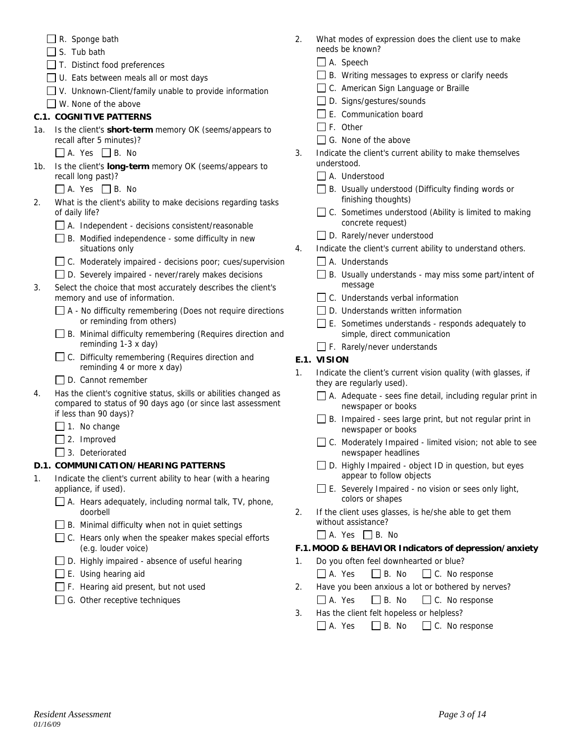- $\Box$  R. Sponge bath
- $\Box$  S. Tub bath
- $\Box$  T. Distinct food preferences
- $\Box$  U. Eats between meals all or most days
- $\Box$  V. Unknown-Client/family unable to provide information
- W. None of the above

# **C.1. COGNITIVE PATTERNS**

- 1a. Is the client's **short-term** memory OK (seems/appears to recall after 5 minutes)?
	- $\Box$  A. Yes  $\Box$  B. No
- 1b. Is the client's **long-term** memory OK (seems/appears to recall long past)?
	- $\Box$  A. Yes  $\Box$  B. No
- 2. What is the client's ability to make decisions regarding tasks of daily life?
	- $\Box$  A. Independent decisions consistent/reasonable
	- $\Box$  B. Modified independence some difficulty in new situations only
	- C. Moderately impaired decisions poor; cues/supervision
	- □ D. Severely impaired never/rarely makes decisions
- 3. Select the choice that most accurately describes the client's memory and use of information.
	- $\Box$  A No difficulty remembering (Does not require directions or reminding from others)
	- B. Minimal difficulty remembering (Requires direction and reminding 1-3 x day)
	- □ C. Difficulty remembering (Requires direction and reminding 4 or more x day)
	- D. Cannot remember
- 4. Has the client's cognitive status, skills or abilities changed as compared to status of 90 days ago (or since last assessment if less than 90 days)?
	- $\Box$  1. No change
	- □ 2. Improved
	- 3. Deteriorated

# **D.1. COMMUNICATION/HEARING PATTERNS**

- 1. Indicate the client's current ability to hear (with a hearing appliance, if used).
	- $\Box$  A. Hears adequately, including normal talk, TV, phone, doorbell
	- $\Box$  B. Minimal difficulty when not in quiet settings
	- $\Box$  C. Hears only when the speaker makes special efforts (e.g. louder voice)
	- □ D. Highly impaired absence of useful hearing
	- $\Box$  E. Using hearing aid
	- $\Box$  F. Hearing aid present, but not used
	- $\Box$  G. Other receptive techniques
- 2. What modes of expression does the client use to make needs be known?
	- □ A. Speech
	- $\Box$  B. Writing messages to express or clarify needs
	- □ C. American Sign Language or Braille
	- □ D. Signs/gestures/sounds
	- $\Box$  E. Communication board
	- $\Box$  F. Other
	- G. None of the above
- 3. Indicate the client's current ability to make themselves understood.
	- A. Understood
	- □ B. Usually understood (Difficulty finding words or finishing thoughts)
	- □ C. Sometimes understood (Ability is limited to making concrete request)
	- D. Rarely/never understood
- 4. Indicate the client's current ability to understand others.
	- A. Understands
	- B. Usually understands may miss some part/intent of message
	- $\Box$  C. Understands verbal information
	- D. Understands written information
	- E. Sometimes understands responds adequately to simple, direct communication
	- F. Rarely/never understands

# **E.1. VISION**

- 1. Indicate the client's current vision quality (with glasses, if they are regularly used).
	- A. Adequate sees fine detail, including regular print in newspaper or books
	- $\Box$  B. Impaired sees large print, but not regular print in newspaper or books
	- $\Box$  C. Moderately Impaired limited vision; not able to see newspaper headlines
	- $\Box$  D. Highly Impaired object ID in question, but eyes appear to follow objects
	- $\square$  E. Severely Impaired no vision or sees only light, colors or shapes
- 2. If the client uses glasses, is he/she able to get them without assistance?
	- $\Box$  A. Yes  $\Box$  B. No

# **F.1. MOOD & BEHAVIOR Indicators of depression/anxiety**

- 1. Do you often feel downhearted or blue?
	- $\Box$  A. Yes  $\Box$  B. No  $\Box$  C. No response
- 2. Have you been anxious a lot or bothered by nerves?  $\Box$  A. Yes  $\Box$  B. No  $\Box$  C. No response
- 3. Has the client felt hopeless or helpless?
	- $\Box$  A. Yes  $\Box$  B. No  $\Box$  C. No response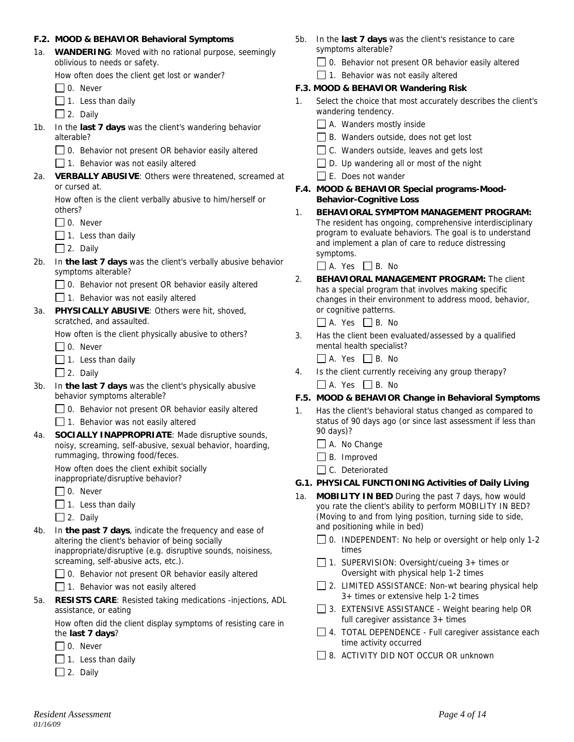### **F.2. MOOD & BEHAVIOR Behavioral Symptoms**

1a. **WANDERING**: Moved with no rational purpose, seemingly oblivious to needs or safety.

How often does the client get lost or wander?

 $\Box$  0. Never

- $\Box$  1. Less than daily
- $\Box$  2. Daily
- 1b. In the **last 7 days** was the client's wandering behavior alterable?
	- $\Box$  0. Behavior not present OR behavior easily altered

 $\Box$  1. Behavior was not easily altered

2a. **VERBALLY ABUSIVE**: Others were threatened, screamed at or cursed at.

How often is the client verbally abusive to him/herself or others?

- $\Box$  0. Never
- $\Box$  1. Less than daily
- $\Box$  2. Daily
- 2b. In **the last 7 days** was the client's verbally abusive behavior symptoms alterable?
	- 0. Behavior not present OR behavior easily altered

 $\Box$  1. Behavior was not easily altered

3a. **PHYSICALLY ABUSIVE**: Others were hit, shoved, scratched, and assaulted.

How often is the client physically abusive to others?

□ 0. Never

- $\Box$  1. Less than daily
- $\Box$  2. Daily
- 3b. In **the last 7 days** was the client's physically abusive behavior symptoms alterable?
	- 0. Behavior not present OR behavior easily altered

 $\Box$  1. Behavior was not easily altered

4a. **SOCIALLY INAPPROPRIATE**: Made disruptive sounds, noisy, screaming, self-abusive, sexual behavior, hoarding, rummaging, throwing food/feces.

How often does the client exhibit socially inappropriate/disruptive behavior?

 $\Box$  0. Never

 $\Box$  1. Less than daily

 $\Box$  2. Daily

4b. In **the past 7 days**, indicate the frequency and ease of altering the client's behavior of being socially inappropriate/disruptive (e.g. disruptive sounds, noisiness, screaming, self-abusive acts, etc.).

 $\Box$  0. Behavior not present OR behavior easily altered

- $\Box$  1. Behavior was not easily altered
- 5a. **RESISTS CARE**: Resisted taking medications -injections, ADL assistance, or eating

How often did the client display symptoms of resisting care in the **last 7 days**?

- $\Box$  0. Never
- $\Box$  1. Less than daily
- $\Box$  2. Daily
- 5b. In the **last 7 days** was the client's resistance to care symptoms alterable?
	- $\Box$  0. Behavior not present OR behavior easily altered

 $\Box$  1. Behavior was not easily altered

### **F.3. MOOD & BEHAVIOR Wandering Risk**

- 1. Select the choice that most accurately describes the client's wandering tendency.
	- $\Box$  A. Wanders mostly inside
	- $\Box$  B. Wanders outside, does not get lost
	- $\Box$  C. Wanders outside, leaves and gets lost
	- $\Box$  D. Up wandering all or most of the night
	- $\Box$  E. Does not wander
- **F.4. MOOD & BEHAVIOR Special programs-Mood-Behavior-Cognitive Loss**
- 1. **BEHAVIORAL SYMPTOM MANAGEMENT PROGRAM:** The resident has ongoing, comprehensive interdisciplinary program to evaluate behaviors. The goal is to understand and implement a plan of care to reduce distressing symptoms.

 $\Box$  A. Yes  $\Box$  B. No

2. **BEHAVIORAL MANAGEMENT PROGRAM:** The client has a special program that involves making specific changes in their environment to address mood, behavior, or cognitive patterns.

 $\Box$  A. Yes  $\Box$  B. No

3. Has the client been evaluated/assessed by a qualified mental health specialist?

 $\Box$  A. Yes  $\Box$  B. No

4. Is the client currently receiving any group therapy?  $\Box$  A. Yes  $\Box$  B. No

### **F.5. MOOD & BEHAVIOR Change in Behavioral Symptoms**

- 1. Has the client's behavioral status changed as compared to status of 90 days ago (or since last assessment if less than 90 days)?
	- A. No Change
	- $\Box$  B. Improved
	- C. Deteriorated

### **G.1. PHYSICAL FUNCTIONING Activities of Daily Living**

- 1a. **MOBILITY IN BED** During the past 7 days, how would you rate the client's ability to perform MOBILITY IN BED? (Moving to and from lying position, turning side to side, and positioning while in bed)
	- $\Box$  0. INDEPENDENT: No help or oversight or help only 1-2 times
	- $\Box$  1. SUPERVISION: Oversight/cueing 3+ times or Oversight with physical help 1-2 times
	- $\Box$  2. LIMITED ASSISTANCE: Non-wt bearing physical help 3+ times or extensive help 1-2 times
	- $\Box$  3. EXTENSIVE ASSISTANCE Weight bearing help OR full caregiver assistance 3+ times
	- 4. TOTAL DEPENDENCE Full caregiver assistance each time activity occurred
	- □ 8. ACTIVITY DID NOT OCCUR OR unknown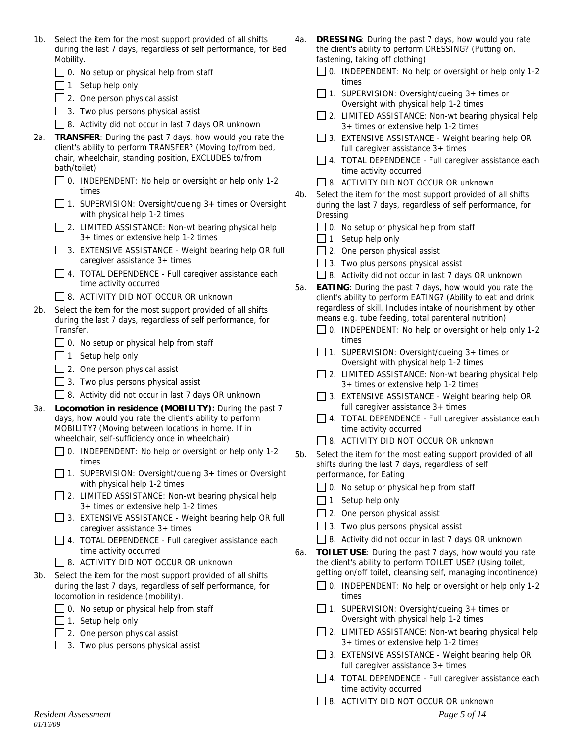- 1b. Select the item for the most support provided of all shifts during the last 7 days, regardless of self performance, for Bed Mobility.
	- $\Box$  0. No setup or physical help from staff
	- $\Box$  1 Setup help only
	- $\Box$  2. One person physical assist
	- $\Box$  3. Two plus persons physical assist
	- □ 8. Activity did not occur in last 7 days OR unknown
- 2a. **TRANSFER**: During the past 7 days, how would you rate the client's ability to perform TRANSFER? (Moving to/from bed, chair, wheelchair, standing position, EXCLUDES to/from bath/toilet)
	- $\Box$  0. INDEPENDENT: No help or oversight or help only 1-2 times
	- $\Box$  1. SUPERVISION: Oversight/cueing 3+ times or Oversight with physical help 1-2 times
	- $\Box$  2. LIMITED ASSISTANCE: Non-wt bearing physical help 3+ times or extensive help 1-2 times
	- 3. EXTENSIVE ASSISTANCE Weight bearing help OR full caregiver assistance 3+ times
	- 4. TOTAL DEPENDENCE Full caregiver assistance each time activity occurred
	- **8. ACTIVITY DID NOT OCCUR OR unknown**
- 2b. Select the item for the most support provided of all shifts during the last 7 days, regardless of self performance, for Transfer.
	- $\Box$  0. No setup or physical help from staff
	- $\Box$  1 Setup help only
	- $\Box$  2. One person physical assist
	- $\Box$  3. Two plus persons physical assist
	- $\Box$  8. Activity did not occur in last 7 days OR unknown
- 3a. **Locomotion in residence (MOBILITY):** During the past 7 days, how would you rate the client's ability to perform MOBILITY? (Moving between locations in home. If in wheelchair, self-sufficiency once in wheelchair)
	- $\Box$  0. INDEPENDENT: No help or oversight or help only 1-2 times
	- □ 1. SUPERVISION: Oversight/cueing 3+ times or Oversight with physical help 1-2 times
	- $\Box$  2. LIMITED ASSISTANCE: Non-wt bearing physical help 3+ times or extensive help 1-2 times
	- $\Box$  3. EXTENSIVE ASSISTANCE Weight bearing help OR full caregiver assistance 3+ times
	- 4. TOTAL DEPENDENCE Full caregiver assistance each time activity occurred
	- **B.** ACTIVITY DID NOT OCCUR OR unknown
- 3b. Select the item for the most support provided of all shifts during the last 7 days, regardless of self performance, for locomotion in residence (mobility).
	- $\Box$  0. No setup or physical help from staff
	- $\Box$  1. Setup help only
	- $\Box$  2. One person physical assist
	- $\Box$  3. Two plus persons physical assist
- 4a. **DRESSING**: During the past 7 days, how would you rate the client's ability to perform DRESSING? (Putting on, fastening, taking off clothing)
	- $\Box$  0. INDEPENDENT: No help or oversight or help only 1-2 times
	- $\Box$  1. SUPERVISION: Oversight/cueing 3+ times or Oversight with physical help 1-2 times
	- $\Box$  2. LIMITED ASSISTANCE: Non-wt bearing physical help 3+ times or extensive help 1-2 times
	- 3. EXTENSIVE ASSISTANCE Weight bearing help OR full caregiver assistance 3+ times
	- $\Box$  4. TOTAL DEPENDENCE Full caregiver assistance each time activity occurred
	- 8. ACTIVITY DID NOT OCCUR OR unknown
- 4b. Select the item for the most support provided of all shifts during the last 7 days, regardless of self performance, for Dressing
	- $\Box$  0. No setup or physical help from staff
	- $\Box$  1 Setup help only
	- $\Box$  2. One person physical assist
	- $\Box$  3. Two plus persons physical assist
	- □ 8. Activity did not occur in last 7 days OR unknown
- 5a. **EATING**: During the past 7 days, how would you rate the client's ability to perform EATING? (Ability to eat and drink regardless of skill. Includes intake of nourishment by other means e.g. tube feeding, total parenteral nutrition)
	- □ 0. INDEPENDENT: No help or oversight or help only 1-2 times
	- 1. SUPERVISION: Oversight/cueing  $3+$  times or Oversight with physical help 1-2 times
	- $\Box$  2. LIMITED ASSISTANCE: Non-wt bearing physical help 3+ times or extensive help 1-2 times
	- 3. EXTENSIVE ASSISTANCE Weight bearing help OR full caregiver assistance 3+ times
	- □ 4. TOTAL DEPENDENCE Full caregiver assistance each time activity occurred
	- **8. ACTIVITY DID NOT OCCUR OR unknown**
- 5b. Select the item for the most eating support provided of all shifts during the last 7 days, regardless of self performance, for Eating
	- **□ 0.** No setup or physical help from staff
	- $\Box$  1 Setup help only
	- $\Box$  2. One person physical assist
	- $\Box$  3. Two plus persons physical assist
	- $\Box$  8. Activity did not occur in last 7 days OR unknown
- 6a. **TOILET USE**: During the past 7 days, how would you rate the client's ability to perform TOILET USE? (Using toilet, getting on/off toilet, cleansing self, managing incontinence)
	- $\Box$  0. INDEPENDENT: No help or oversight or help only 1-2 times
	- 1. SUPERVISION: Oversight/cueing  $3+$  times or Oversight with physical help 1-2 times
	- □ 2. LIMITED ASSISTANCE: Non-wt bearing physical help 3+ times or extensive help 1-2 times
	- $\Box$  3. EXTENSIVE ASSISTANCE Weight bearing help OR full caregiver assistance 3+ times
	- 4. TOTAL DEPENDENCE Full caregiver assistance each time activity occurred
	- 8. ACTIVITY DID NOT OCCUR OR unknown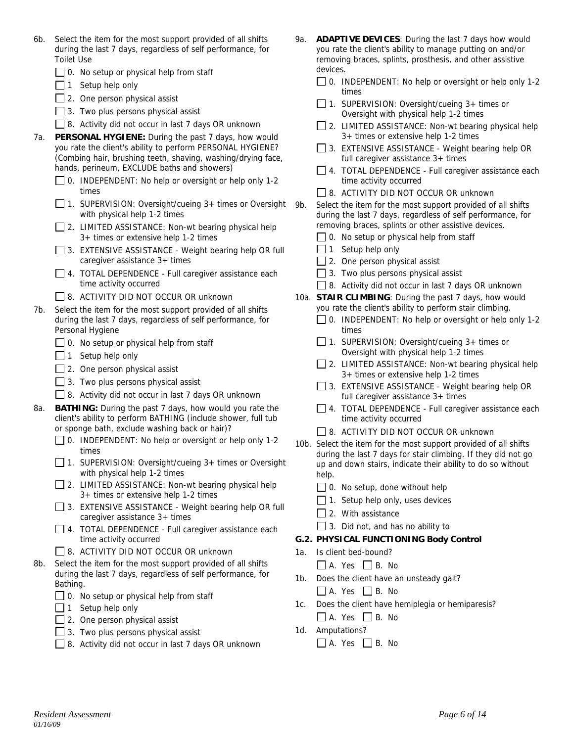- 6b. Select the item for the most support provided of all shifts during the last 7 days, regardless of self performance, for Toilet Use
	- $\Box$  0. No setup or physical help from staff
	- $\Box$  1 Setup help only
	- $\Box$  2. One person physical assist
	- $\Box$  3. Two plus persons physical assist
	- □ 8. Activity did not occur in last 7 days OR unknown
- 7a. **PERSONAL HYGIENE:** During the past 7 days, how would you rate the client's ability to perform PERSONAL HYGIENE? (Combing hair, brushing teeth, shaving, washing/drying face, hands, perineum, EXCLUDE baths and showers)
	- $\Box$  0. INDEPENDENT: No help or oversight or help only 1-2 times
	- 1. SUPERVISION: Oversight/cueing  $3+$  times or Oversight 9b. with physical help 1-2 times
	- $\Box$  2. LIMITED ASSISTANCE: Non-wt bearing physical help 3+ times or extensive help 1-2 times
	- 3. EXTENSIVE ASSISTANCE Weight bearing help OR full caregiver assistance 3+ times
	- 4. TOTAL DEPENDENCE Full caregiver assistance each time activity occurred
	- □ 8. ACTIVITY DID NOT OCCUR OR unknown
- 7b. Select the item for the most support provided of all shifts during the last 7 days, regardless of self performance, for Personal Hygiene
	- $\Box$  0. No setup or physical help from staff
	- $\Box$  1 Setup help only
	- $\Box$  2. One person physical assist
	- $\Box$  3. Two plus persons physical assist
	- $\Box$  8. Activity did not occur in last 7 days OR unknown
- 8a. **BATHING:** During the past 7 days, how would you rate the client's ability to perform BATHING (include shower, full tub or sponge bath, exclude washing back or hair)?
	- $\Box$  0. INDEPENDENT: No help or oversight or help only 1-2 times
	- $\Box$  1. SUPERVISION: Oversight/cueing 3+ times or Oversight with physical help 1-2 times
	- $\Box$  2. LIMITED ASSISTANCE: Non-wt bearing physical help 3+ times or extensive help 1-2 times
	- $\Box$  3. EXTENSIVE ASSISTANCE Weight bearing help OR full caregiver assistance 3+ times
	- $\Box$  4. TOTAL DEPENDENCE Full caregiver assistance each time activity occurred
	- □ 8. ACTIVITY DID NOT OCCUR OR unknown
- 8b. Select the item for the most support provided of all shifts during the last 7 days, regardless of self performance, for Bathing.
	- $\Box$  0. No setup or physical help from staff
	- $\Box$  1 Setup help only
	- $\Box$  2. One person physical assist
	- $\Box$  3. Two plus persons physical assist
	- □ 8. Activity did not occur in last 7 days OR unknown
- 9a. **ADAPTIVE DEVICES**: During the last 7 days how would you rate the client's ability to manage putting on and/or removing braces, splints, prosthesis, and other assistive devices.
	- □ 0. INDEPENDENT: No help or oversight or help only 1-2 times
	- □ 1. SUPERVISION: Oversight/cueing 3+ times or Oversight with physical help 1-2 times
	- □ 2. LIMITED ASSISTANCE: Non-wt bearing physical help 3+ times or extensive help 1-2 times
	- 3. EXTENSIVE ASSISTANCE Weight bearing help OR full caregiver assistance 3+ times
	- 4. TOTAL DEPENDENCE Full caregiver assistance each time activity occurred
	- $\Box$  8. ACTIVITY DID NOT OCCUR OR unknown
- Select the item for the most support provided of all shifts during the last 7 days, regardless of self performance, for removing braces, splints or other assistive devices.
	- $\Box$  0. No setup or physical help from staff
	- $\Box$  1 Setup help only
	- $\Box$  2. One person physical assist
	- $\Box$  3. Two plus persons physical assist
	- 8. Activity did not occur in last 7 days OR unknown
- 10a. **STAIR CLIMBING**: During the past 7 days, how would you rate the client's ability to perform stair climbing.
	- 0. INDEPENDENT: No help or oversight or help only 1-2 times
	- $\Box$  1. SUPERVISION: Oversight/cueing 3+ times or Oversight with physical help 1-2 times
	- □ 2. LIMITED ASSISTANCE: Non-wt bearing physical help 3+ times or extensive help 1-2 times
	- $\Box$  3. EXTENSIVE ASSISTANCE Weight bearing help OR full caregiver assistance 3+ times
	- □ 4. TOTAL DEPENDENCE Full caregiver assistance each time activity occurred
	- □ 8. ACTIVITY DID NOT OCCUR OR unknown
- 10b. Select the item for the most support provided of all shifts during the last 7 days for stair climbing. If they did not go up and down stairs, indicate their ability to do so without help.
	- $\Box$  0. No setup, done without help
	- $\Box$  1. Setup help only, uses devices
	- $\Box$  2. With assistance
	- $\Box$  3. Did not, and has no ability to

### **G.2. PHYSICAL FUNCTIONING Body Control**

- 1a. Is client bed-bound?
	- $\Box$  A. Yes  $\Box$  B. No
- 1b. Does the client have an unsteady gait?
	- $\Box$  A. Yes  $\Box$  B. No
- 1c. Does the client have hemiplegia or hemiparesis?  $\Box$  A. Yes  $\Box$  B. No
- 1d. Amputations?
	- $\Box$  A. Yes  $\Box$  B. No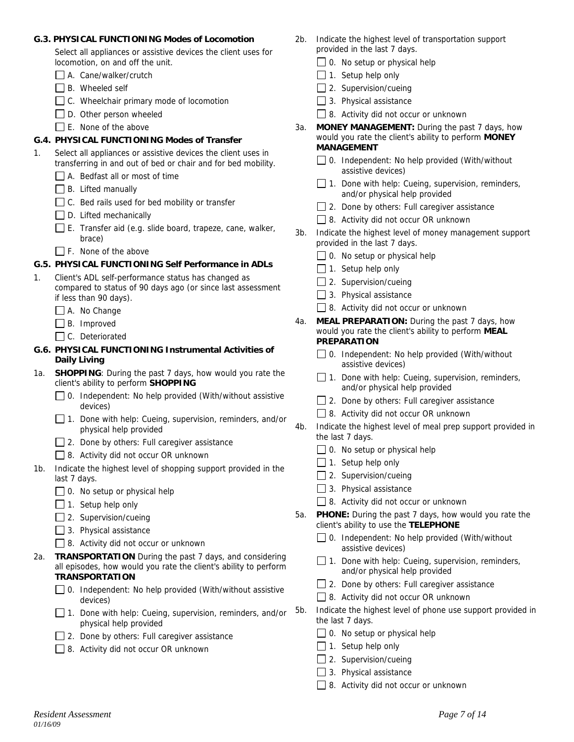### **G.3. PHYSICAL FUNCTIONING Modes of Locomotion**

Select all appliances or assistive devices the client uses for locomotion, on and off the unit.

- A. Cane/walker/crutch
- $\Box$  B. Wheeled self
- C. Wheelchair primary mode of locomotion
- $\Box$  D. Other person wheeled
- $\Box$  E. None of the above

## **G.4. PHYSICAL FUNCTIONING Modes of Transfer**

- 1. Select all appliances or assistive devices the client uses in transferring in and out of bed or chair and for bed mobility.
	- A. Bedfast all or most of time
	- $\Box$  B. Lifted manually
	- $\Box$  C. Bed rails used for bed mobility or transfer
	- $\Box$  D. Lifted mechanically
	- $\Box$  E. Transfer aid (e.g. slide board, trapeze, cane, walker, brace)
	- F. None of the above

### **G.5. PHYSICAL FUNCTIONING Self Performance in ADLs**

- 1. Client's ADL self-performance status has changed as compared to status of 90 days ago (or since last assessment if less than 90 days).
	- A. No Change
	- $\Box$  B. Improved
	- □ C. Deteriorated

### **G.6. PHYSICAL FUNCTIONING Instrumental Activities of Daily Living**

- 1a. **SHOPPING**: During the past 7 days, how would you rate the client's ability to perform **SHOPPING**
	- □ 0. Independent: No help provided (With/without assistive devices)
	- 1. Done with help: Cueing, supervision, reminders, and/or physical help provided
	- □ 2. Done by others: Full caregiver assistance
	- □ 8. Activity did not occur OR unknown
- 1b. Indicate the highest level of shopping support provided in the last 7 days.
	- $\Box$  0. No setup or physical help
	- $\Box$  1. Setup help only
	- $\Box$  2. Supervision/cueing
	- $\Box$  3. Physical assistance
	- 8. Activity did not occur or unknown
- 2a. **TRANSPORTATION** During the past 7 days, and considering all episodes, how would you rate the client's ability to perform **TRANSPORTATION**
	- 0. Independent: No help provided (With/without assistive devices)
	- $\Box$  1. Done with help: Cueing, supervision, reminders, and/or physical help provided
	- $\Box$  2. Done by others: Full caregiver assistance
	- 8. Activity did not occur OR unknown
- 2b. Indicate the highest level of transportation support provided in the last 7 days.
	- $\Box$  0. No setup or physical help
	- $\Box$  1. Setup help only
	- $\Box$  2. Supervision/cueing
	- $\Box$  3. Physical assistance
	- 8. Activity did not occur or unknown
- 3a. **MONEY MANAGEMENT:** During the past 7 days, how would you rate the client's ability to perform **MONEY MANAGEMENT** 
	- $\Box$  0. Independent: No help provided (With/without assistive devices)
	- $\Box$  1. Done with help: Cueing, supervision, reminders, and/or physical help provided
	- $\Box$  2. Done by others: Full caregiver assistance
	- 8. Activity did not occur OR unknown
- 3b. Indicate the highest level of money management support provided in the last 7 days.
	- $\Box$  0. No setup or physical help
	- $\Box$  1. Setup help only
	- $\Box$  2. Supervision/cueing
	- $\Box$  3. Physical assistance
	- 8. Activity did not occur or unknown
- 4a. **MEAL PREPARATION:** During the past 7 days, how would you rate the client's ability to perform **MEAL PREPARATION** 
	- 0. Independent: No help provided (With/without assistive devices)
	- $\Box$  1. Done with help: Cueing, supervision, reminders, and/or physical help provided
	- □ 2. Done by others: Full caregiver assistance
	- 8. Activity did not occur OR unknown
- 4b. Indicate the highest level of meal prep support provided in the last 7 days.
	- $\Box$  0. No setup or physical help
	- $\Box$  1. Setup help only
	- $\Box$  2. Supervision/cueing
	- $\Box$  3. Physical assistance
	- 8. Activity did not occur or unknown
- 5a. **PHONE:** During the past 7 days, how would you rate the client's ability to use the **TELEPHONE**
	- $\Box$  0. Independent: No help provided (With/without assistive devices)
	- $\Box$  1. Done with help: Cueing, supervision, reminders, and/or physical help provided
	- $\Box$  2. Done by others: Full caregiver assistance
	- 8. Activity did not occur OR unknown
- 5b. Indicate the highest level of phone use support provided in the last 7 days.
	- $\Box$  0. No setup or physical help
	- $\Box$  1. Setup help only
	- □ 2. Supervision/cueing
	- $\Box$  3. Physical assistance
	- 8. Activity did not occur or unknown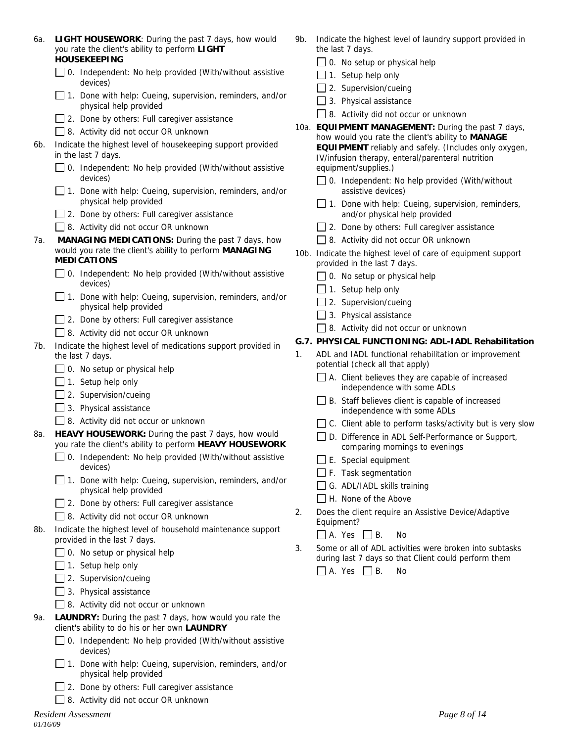| 6a. | LIGHT HOUSEWORK: During the past 7 days, how would<br>you rate the client's ability to perform LIGHT                               |    | Indicate the highest level of laundry support provided in<br>the last 7 days.                                                                                          |
|-----|------------------------------------------------------------------------------------------------------------------------------------|----|------------------------------------------------------------------------------------------------------------------------------------------------------------------------|
|     | <b>HOUSEKEEPING</b>                                                                                                                |    | $\Box$ 0. No setup or physical help                                                                                                                                    |
|     | $\Box$ 0. Independent: No help provided (With/without assistive<br>devices)                                                        |    | $\Box$ 1. Setup help only                                                                                                                                              |
|     | $\Box$ 1. Done with help: Cueing, supervision, reminders, and/or                                                                   |    | 2. Supervision/cueing                                                                                                                                                  |
|     | physical help provided                                                                                                             |    | 3. Physical assistance                                                                                                                                                 |
|     | $\Box$ 2. Done by others: Full caregiver assistance                                                                                |    | 8. Activity did not occur or unknown                                                                                                                                   |
|     | $\Box$ 8. Activity did not occur OR unknown                                                                                        |    | 10a. EQUIPMENT MANAGEMENT: During the past 7 days,                                                                                                                     |
| 6b. | Indicate the highest level of housekeeping support provided<br>in the last 7 days.                                                 |    | how would you rate the client's ability to MANAGE<br><b>EQUIPMENT</b> reliably and safely. (Includes only oxygen,<br>IV/infusion therapy, enteral/parenteral nutrition |
|     | $\Box$ 0. Independent: No help provided (With/without assistive<br>devices)                                                        |    | equipment/supplies.)<br>$\Box$ 0. Independent: No help provided (With/without                                                                                          |
|     | $\Box$ 1. Done with help: Cueing, supervision, reminders, and/or<br>physical help provided                                         |    | assistive devices)<br>$\Box$ 1. Done with help: Cueing, supervision, reminders,                                                                                        |
|     | $\Box$ 2. Done by others: Full caregiver assistance                                                                                |    | and/or physical help provided                                                                                                                                          |
|     | □ 8. Activity did not occur OR unknown                                                                                             |    | $\Box$ 2. Done by others: Full caregiver assistance                                                                                                                    |
| 7а. | MANAGING MEDICATIONS: During the past 7 days, how<br>would you rate the client's ability to perform MANAGING<br><b>MEDICATIONS</b> |    | □ 8. Activity did not occur OR unknown                                                                                                                                 |
|     |                                                                                                                                    |    | 10b. Indicate the highest level of care of equipment support<br>provided in the last 7 days.                                                                           |
|     | 0. Independent: No help provided (With/without assistive                                                                           |    | $\Box$ 0. No setup or physical help                                                                                                                                    |
|     | devices)                                                                                                                           |    | $\Box$ 1. Setup help only                                                                                                                                              |
|     | 1. Done with help: Cueing, supervision, reminders, and/or                                                                          |    | 2. Supervision/cueing                                                                                                                                                  |
|     | physical help provided                                                                                                             |    | 3. Physical assistance                                                                                                                                                 |
|     | 2. Done by others: Full caregiver assistance                                                                                       |    | 8. Activity did not occur or unknown                                                                                                                                   |
|     | 8. Activity did not occur OR unknown                                                                                               |    | G.7. PHYSICAL FUNCTIONING: ADL-IADL Rehabilitation                                                                                                                     |
| 7b. | Indicate the highest level of medications support provided in<br>the last 7 days.                                                  | 1. | ADL and IADL functional rehabilitation or improvement                                                                                                                  |
|     | $\Box$ 0. No setup or physical help                                                                                                |    | potential (check all that apply)                                                                                                                                       |
|     | $\Box$ 1. Setup help only                                                                                                          |    | $\Box$ A. Client believes they are capable of increased                                                                                                                |
|     | 2. Supervision/cueing                                                                                                              |    | independence with some ADLs                                                                                                                                            |
|     | 3. Physical assistance                                                                                                             |    | B. Staff believes client is capable of increased<br>independence with some ADLs                                                                                        |
|     | 8. Activity did not occur or unknown                                                                                               |    | $\Box$ C. Client able to perform tasks/activity but is very slow                                                                                                       |
| 8a. | HEAVY HOUSEWORK: During the past 7 days, how would<br>you rate the client's ability to perform HEAVY HOUSEWORK                     |    | D. Difference in ADL Self-Performance or Support,<br>comparing mornings to evenings                                                                                    |
|     | 0. Independent: No help provided (With/without assistive                                                                           |    | E. Special equipment                                                                                                                                                   |
|     | devices)                                                                                                                           |    | F. Task segmentation                                                                                                                                                   |
|     | $\Box$ 1. Done with help: Cueing, supervision, reminders, and/or<br>physical help provided                                         |    | G. ADL/IADL skills training                                                                                                                                            |
|     | $\Box$ 2. Done by others: Full caregiver assistance                                                                                |    | H. None of the Above                                                                                                                                                   |
|     | □ 8. Activity did not occur OR unknown                                                                                             | 2. | Does the client require an Assistive Device/Adaptive                                                                                                                   |
| 8b. | Indicate the highest level of household maintenance support                                                                        |    | Equipment?<br>$\Box$ A. Yes $\Box$ B.                                                                                                                                  |
|     | provided in the last 7 days.                                                                                                       | 3. | No<br>Some or all of ADL activities were broken into subtasks                                                                                                          |
|     | $\Box$ 0. No setup or physical help                                                                                                |    | during last 7 days so that Client could perform them                                                                                                                   |
|     | $\Box$ 1. Setup help only                                                                                                          |    | $\Box$ A. Yes $\Box$ B.<br>No                                                                                                                                          |
|     | 2. Supervision/cueing                                                                                                              |    |                                                                                                                                                                        |
|     | 3. Physical assistance                                                                                                             |    |                                                                                                                                                                        |
|     | 8. Activity did not occur or unknown                                                                                               |    |                                                                                                                                                                        |
| 9a. | LAUNDRY: During the past 7 days, how would you rate the<br>client's ability to do his or her own LAUNDRY                           |    |                                                                                                                                                                        |
|     | $\Box$ 0. Independent: No help provided (With/without assistive<br>devices)                                                        |    |                                                                                                                                                                        |
|     | $\Box$ 1. Done with help: Cueing, supervision, reminders, and/or<br>physical help provided                                         |    |                                                                                                                                                                        |
|     | 2. Done by others: Full caregiver assistance                                                                                       |    |                                                                                                                                                                        |
|     | 8. Activity did not occur OR unknown                                                                                               |    |                                                                                                                                                                        |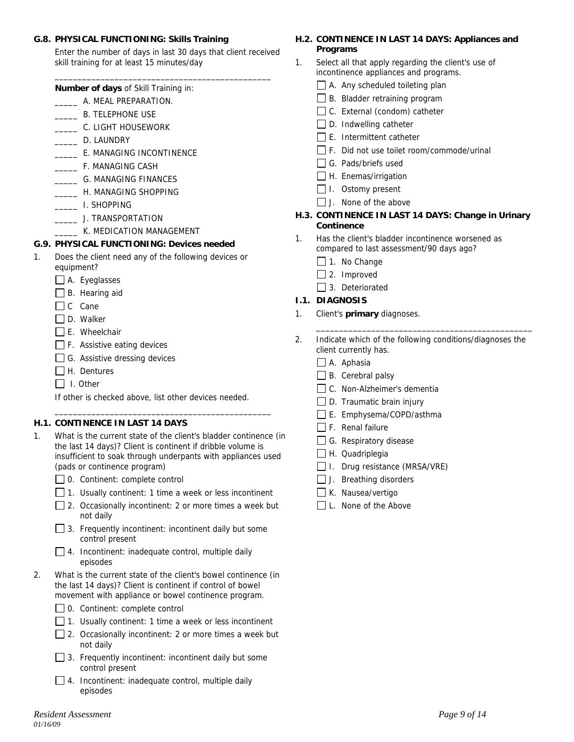#### **G.8. PHYSICAL FUNCTIONING: Skills Training**

Enter the number of days in last 30 days that client received skill training for at least 15 minutes/day

\_\_\_\_\_\_\_\_\_\_\_\_\_\_\_\_\_\_\_\_\_\_\_\_\_\_\_\_\_\_\_\_\_\_\_\_\_\_\_\_\_\_\_\_\_\_\_

 **Number of days** of Skill Training in:

- \_\_\_\_\_ A. MEAL PREPARATION.
- **EXAMPLE B. TELEPHONE USE**
- \_\_\_\_\_ C. LIGHT HOUSEWORK
- \_\_\_\_\_ D. LAUNDRY
- \_\_\_\_\_ E. MANAGING INCONTINENCE
- \_\_\_\_\_ F. MANAGING CASH
- \_\_\_\_\_ G. MANAGING FINANCES
- \_\_\_\_\_ H. MANAGING SHOPPING
- \_\_\_\_\_ I. SHOPPING
- **LEARER 1. TRANSPORTATION**
- K. MEDICATION MANAGEMENT

### **G.9. PHYSICAL FUNCTIONING: Devices needed**

- 1. Does the client need any of the following devices or equipment?
	- A. Eyeglasses
	- B. Hearing aid
	- $\Box$  C Cane
	- $\Box$  D. Walker
	- $\Box$  E. Wheelchair
	- F. Assistive eating devices
	- $\Box$  G. Assistive dressing devices
	- $\Box$  H. Dentures
	- $\Box$  I. Other

If other is checked above, list other devices needed.

### **H.1. CONTINENCE IN LAST 14 DAYS**

1. What is the current state of the client's bladder continence (in the last 14 days)? Client is continent if dribble volume is insufficient to soak through underpants with appliances used (pads or continence program)

\_\_\_\_\_\_\_\_\_\_\_\_\_\_\_\_\_\_\_\_\_\_\_\_\_\_\_\_\_\_\_\_\_\_\_\_\_\_\_\_\_\_\_\_\_\_\_

- □ 0. Continent: complete control
- $\Box$  1. Usually continent: 1 time a week or less incontinent
- □ 2. Occasionally incontinent: 2 or more times a week but not daily
- $\Box$  3. Frequently incontinent: incontinent daily but some control present
- $\Box$  4. Incontinent: inadequate control, multiple daily episodes
- 2. What is the current state of the client's bowel continence (in the last 14 days)? Client is continent if control of bowel movement with appliance or bowel continence program.
	- $\Box$  0. Continent: complete control
	- $\Box$  1. Usually continent: 1 time a week or less incontinent
	- $\Box$  2. Occasionally incontinent: 2 or more times a week but not daily
	- $\Box$  3. Frequently incontinent: incontinent daily but some control present
	- $\Box$  4. Incontinent: inadequate control, multiple daily episodes

# **H.2. CONTINENCE IN LAST 14 DAYS: Appliances and Programs**

- 1. Select all that apply regarding the client's use of incontinence appliances and programs.
	- $\Box$  A. Any scheduled toileting plan
	- $\Box$  B. Bladder retraining program
	- □ C. External (condom) catheter
	- $\Box$  D. Indwelling catheter
	- $\Box$  E. Intermittent catheter
	- □ F. Did not use toilet room/commode/urinal
	- G. Pads/briefs used
	- $\Box$  H. Enemas/irrigation
	- $\Box$  I. Ostomy present
	- $\Box$  J. None of the above

### **H.3. CONTINENCE IN LAST 14 DAYS: Change in Urinary Continence**

- 1. Has the client's bladder incontinence worsened as compared to last assessment/90 days ago?
	- $\Box$  1. No Change
	- $\Box$  2. Improved
	- □ 3. Deteriorated

# **I.1. DIAGNOSIS**

- 1. Client's **primary** diagnoses.
- 2. Indicate which of the following conditions/diagnoses the client currently has.

\_\_\_\_\_\_\_\_\_\_\_\_\_\_\_\_\_\_\_\_\_\_\_\_\_\_\_\_\_\_\_\_\_\_\_\_\_\_\_\_\_\_\_\_\_\_\_

- $\Box$  A. Aphasia
- $\Box$  B. Cerebral palsy
- □ C. Non-Alzheimer's dementia
- $\Box$  D. Traumatic brain injury
- E. Emphysema/COPD/asthma
- $\Box$  F. Renal failure
- G. Respiratory disease
- H. Quadriplegia
- $\Box$  I. Drug resistance (MRSA/VRE)
- $\Box$  J. Breathing disorders
- K. Nausea/vertigo
- L. None of the Above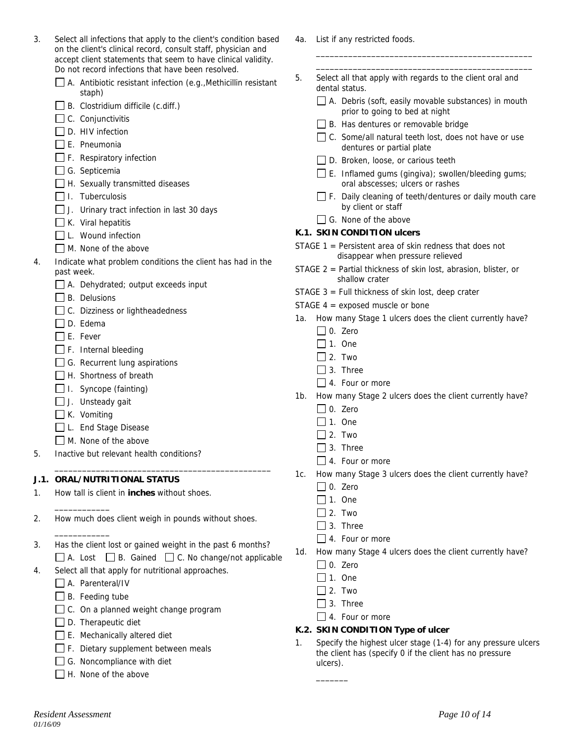| $\Box$ H. None of the above            |               |
|----------------------------------------|---------------|
| Resident Assessment<br><i>01/16/09</i> | Page 10 of 14 |
|                                        |               |

| 3. | Select all infections that apply to the client's condition based |
|----|------------------------------------------------------------------|
|    | on the client's clinical record, consult staff, physician and    |
|    | accept client statements that seem to have clinical validity.    |
|    | Do not record infections that have been resolved.                |

| $\Box$ A. Antibiotic resistant infection (e.g., Methicillin resistant |
|-----------------------------------------------------------------------|
| staph)                                                                |

- $\Box$  B. Clostridium difficile (c.diff.)
- $\Box$  C. Conjunctivitis
- $\Box$  D. HIV infection
- $\Box$  E. Pneumonia
- $\Box$  F. Respiratory infection
- G. Septicemia
- $\Box$  H. Sexually transmitted diseases
- $\Box$  I. Tuberculosis
- $\Box$  J. Urinary tract infection in last 30 days
- $\Box$  K. Viral hepatitis
- $\Box$  L. Wound infection
- M. None of the above
- 4. Indicate what problem conditions the client has had in the past week.
	- A. Dehydrated; output exceeds input
	- $\Box$  B. Delusions
	- □ C. Dizziness or lightheadedness
	- □ D. Edema
	- $\Box$  E. Fever
	- $\Box$  F. Internal bleeding
	- $\Box$  G. Recurrent lung aspirations
	- H. Shortness of breath
	- $\Box$  I. Syncope (fainting)
	- $\Box$  J. Unsteady gait
	- $\Box$  K. Vomiting

 $\overline{\phantom{a}}$   $\overline{\phantom{a}}$   $\overline{\phantom{a}}$   $\overline{\phantom{a}}$   $\overline{\phantom{a}}$   $\overline{\phantom{a}}$   $\overline{\phantom{a}}$   $\overline{\phantom{a}}$   $\overline{\phantom{a}}$   $\overline{\phantom{a}}$   $\overline{\phantom{a}}$   $\overline{\phantom{a}}$   $\overline{\phantom{a}}$   $\overline{\phantom{a}}$   $\overline{\phantom{a}}$   $\overline{\phantom{a}}$   $\overline{\phantom{a}}$   $\overline{\phantom{a}}$   $\overline{\$ 

 $\overline{\phantom{a}}$   $\overline{\phantom{a}}$   $\overline{\phantom{a}}$   $\overline{\phantom{a}}$   $\overline{\phantom{a}}$   $\overline{\phantom{a}}$   $\overline{\phantom{a}}$   $\overline{\phantom{a}}$   $\overline{\phantom{a}}$   $\overline{\phantom{a}}$   $\overline{\phantom{a}}$   $\overline{\phantom{a}}$   $\overline{\phantom{a}}$   $\overline{\phantom{a}}$   $\overline{\phantom{a}}$   $\overline{\phantom{a}}$   $\overline{\phantom{a}}$   $\overline{\phantom{a}}$   $\overline{\$ 

- □L. End Stage Disease
- M. None of the above
- 5. Inactive but relevant health conditions?

### **J.1. ORAL/NUTRITIONAL STATUS**

- 1. How tall is client in **inches** without shoes.
- 2. How much does client weigh in pounds without shoes.
- 3. Has the client lost or gained weight in the past 6 months?  $\Box$  A. Lost  $\Box$  B. Gained  $\Box$  C. No change/not applicable

\_\_\_\_\_\_\_\_\_\_\_\_\_\_\_\_\_\_\_\_\_\_\_\_\_\_\_\_\_\_\_\_\_\_\_\_\_\_\_\_\_\_\_\_\_\_\_

- 4. Select all that apply for nutritional approaches.
	- A. Parenteral/IV
	- $\Box$  B. Feeding tube
	- $\Box$  C. On a planned weight change program
	- $\Box$  D. Therapeutic diet
	- $\Box$  E. Mechanically altered diet
	- $\Box$  F. Dietary supplement between meals
	- G. Noncompliance with diet
	- ahove
- 4a. List if any restricted foods.
- 5. Select all that apply with regards to the client oral and dental status.
	- $\Box$  A. Debris (soft, easily movable substances) in mouth prior to going to bed at night

\_\_\_\_\_\_\_\_\_\_\_\_\_\_\_\_\_\_\_\_\_\_\_\_\_\_\_\_\_\_\_\_\_\_\_\_\_\_\_\_\_\_\_\_\_\_\_ \_\_\_\_\_\_\_\_\_\_\_\_\_\_\_\_\_\_\_\_\_\_\_\_\_\_\_\_\_\_\_\_\_\_\_\_\_\_\_\_\_\_\_\_\_\_\_

- □ B. Has dentures or removable bridge
- $\Box$  C. Some/all natural teeth lost, does not have or use dentures or partial plate
- $\Box$  D. Broken, loose, or carious teeth
- $\Box$  E. Inflamed gums (gingiva); swollen/bleeding gums; oral abscesses; ulcers or rashes
- $\Box$  F. Daily cleaning of teeth/dentures or daily mouth care by client or staff
- $\Box$  G. None of the above

### **K.1. SKIN CONDITION ulcers**

- STAGE 1 = Persistent area of skin redness that does not disappear when pressure relieved
- STAGE 2 = Partial thickness of skin lost, abrasion, blister, or shallow crater
- STAGE  $3$  = Full thickness of skin lost, deep crater
- STAGE 4 = exposed muscle or bone
- 1a. How many Stage 1 ulcers does the client currently have?
	- $\Box$  0. Zero
	- $\Box$  1. One
	- $\Box$  2. Two
	- $\Box$  3. Three
	- □ 4. Four or more
- 1b. How many Stage 2 ulcers does the client currently have?
	- $\Box$  0. Zero
	- $\Box$  1. One
	- $\Box$  2. Two
	- $\Box$  3. Three
	- $\Box$  4. Four or more
- 1c. How many Stage 3 ulcers does the client currently have?
	- $\Box$  0. Zero
	- $\Box$  1. One
	- $\Box$  2. Two
	- □ 3. Three
	- $\Box$  4. Four or more
- 1d. How many Stage 4 ulcers does the client currently have?
	- $\Box$  0. Zero
	- $\Box$  1. One
	- $\Box$  2. Two
	- $\Box$  3. Three

 $\Box$  4. Four or more

### **K.2. SKIN CONDITION Type of ulcer**

1. Specify the highest ulcer stage (1-4) for any pressure ulcers the client has (specify 0 if the client has no pressure ulcers).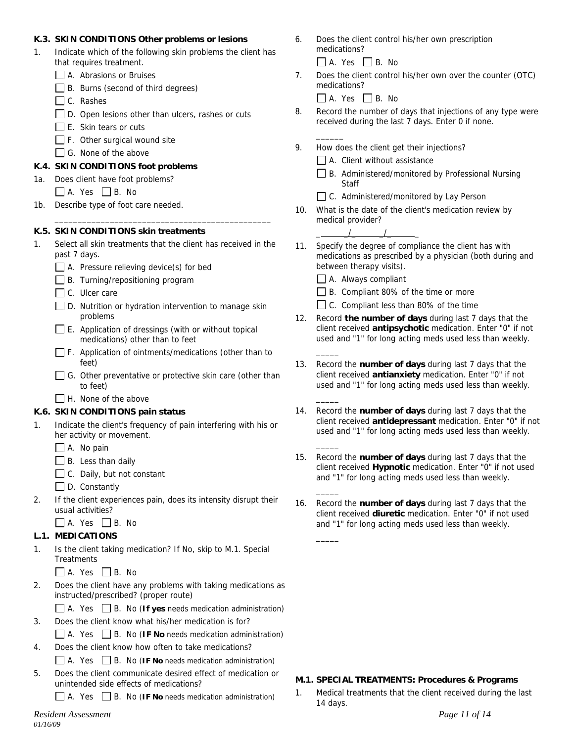### **K.3. SKIN CONDITIONS Other problems or lesions**

- Indicate which of the following skin problems the client has that requires treatment.
	- A. Abrasions or Bruises
	- B. Burns (second of third degrees)
	- C. Rashes
	- $\Box$  D. Open lesions other than ulcers, rashes or cuts
	- $\Box$  E. Skin tears or cuts
	- $\Box$  F. Other surgical wound site
	- G. None of the above

## **K.4. SKIN CONDITIONS foot problems**

- 1a. Does client have foot problems?
	- $\Box$  A. Yes  $\Box$  B. No
- 1b. Describe type of foot care needed.

### **K.5. SKIN CONDITIONS skin treatments**

1. Select all skin treatments that the client has received in the past 7 days.

\_\_\_\_\_\_\_\_\_\_\_\_\_\_\_\_\_\_\_\_\_\_\_\_\_\_\_\_\_\_\_\_\_\_\_\_\_\_\_\_\_\_\_\_\_\_\_

- A. Pressure relieving device(s) for bed
- $\Box$  B. Turning/repositioning program
- C. Ulcer care
- $\Box$  D. Nutrition or hydration intervention to manage skin problems
- E. Application of dressings (with or without topical medications) other than to feet
- $\Box$  F. Application of ointments/medications (other than to feet)
- G. Other preventative or protective skin care (other than to feet)
- $\Box$  H. None of the above

# **K.6. SKIN CONDITIONS pain status**

- 1. Indicate the client's frequency of pain interfering with his or her activity or movement.
	- A. No pain
	- $\Box$  B. Less than daily
	- □ C. Daily, but not constant
	- $\Box$  D. Constantly
- 2. If the client experiences pain, does its intensity disrupt their usual activities?
	- $\Box$  A. Yes  $\Box$  B. No

# **L.1. MEDICATIONS**

- 1. Is the client taking medication? If No, skip to M.1. Special **Treatments** 
	- $\Box$  A. Yes  $\Box$  B. No
- 2. Does the client have any problems with taking medications as instructed/prescribed? (proper route)
	- A. Yes B. No (**If yes** needs medication administration)
- 3. Does the client know what his/her medication is for?
	- $\Box$  A. Yes  $\Box$  B. No (**IF No** needs medication administration)
- 4. Does the client know how often to take medications?  $\Box$  A. Yes  $\Box$  B. No (**IF No** needs medication administration)
- 5. Does the client communicate desired effect of medication or unintended side effects of medications?

A. Yes B. No (**IF No** needs medication administration)

*Resident Assessment Page 11 of 14 01/16/09* 

- 6. Does the client control his/her own prescription medications?
	- $\Box$  A. Yes  $\Box$  B. No
- 7. Does the client control his/her own over the counter (OTC) medications?

 $\Box$  A. Yes  $\Box$  B. No

 $\overline{\phantom{a}}$ 

- 8. Record the number of days that injections of any type were received during the last 7 days. Enter 0 if none.
- 9. How does the client get their injections?
	- $\Box$  A. Client without assistance
	- $\Box$  B. Administered/monitored by Professional Nursing **Staff**
	- □ C. Administered/monitored by Lay Person
- 10. What is the date of the client's medication review by medical provider?

 $\frac{1}{2}$   $\frac{1}{2}$   $\frac{1}{2}$   $\frac{1}{2}$   $\frac{1}{2}$   $\frac{1}{2}$   $\frac{1}{2}$   $\frac{1}{2}$   $\frac{1}{2}$   $\frac{1}{2}$   $\frac{1}{2}$   $\frac{1}{2}$   $\frac{1}{2}$   $\frac{1}{2}$   $\frac{1}{2}$   $\frac{1}{2}$   $\frac{1}{2}$   $\frac{1}{2}$   $\frac{1}{2}$   $\frac{1}{2}$   $\frac{1}{2}$   $\frac{1}{2}$ 

- 11. Specify the degree of compliance the client has with medications as prescribed by a physician (both during and between therapy visits).
	- A. Always compliant

\_\_\_\_\_

\_\_\_\_\_

\_\_\_\_\_

 $\overline{\phantom{a}}$ 

 $\overline{\phantom{a}}$ 

- B. Compliant 80% of the time or more
- □ C. Compliant less than 80% of the time
- 12. Record **the number of days** during last 7 days that the client received **antipsychotic** medication. Enter "0" if not used and "1" for long acting meds used less than weekly.
- 13. Record the **number of days** during last 7 days that the client received **antianxiety** medication. Enter "0" if not used and "1" for long acting meds used less than weekly.
- 14. Record the **number of days** during last 7 days that the client received **antidepressant** medication. Enter "0" if not used and "1" for long acting meds used less than weekly.
- 15. Record the **number of days** during last 7 days that the client received **Hypnotic** medication. Enter "0" if not used and "1" for long acting meds used less than weekly.
- 16. Record the **number of days** during last 7 days that the client received **diuretic** medication. Enter "0" if not used and "1" for long acting meds used less than weekly.

### **M.1. SPECIAL TREATMENTS: Procedures & Programs**

1. Medical treatments that the client received during the last 14 days.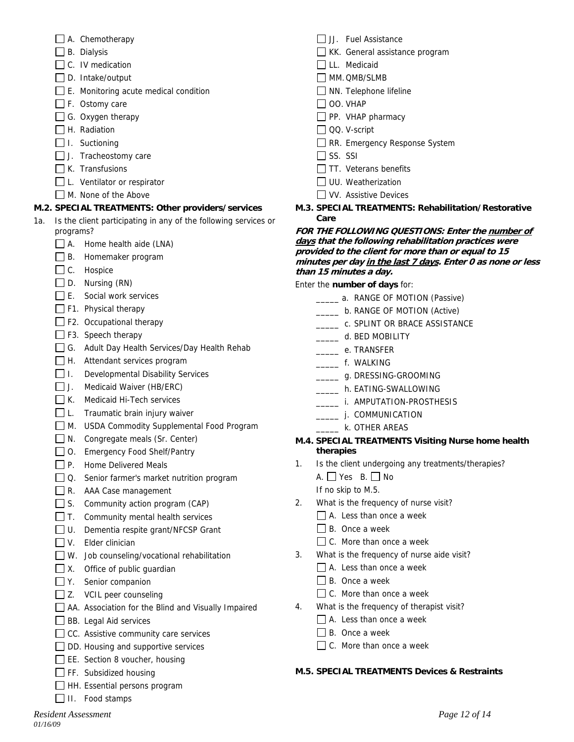- A. Chemotherapy
- $\Box$  B. Dialysis
- $\Box$  C. IV medication
- $\square$  D. Intake/output
- $\Box$  E. Monitoring acute medical condition
- $\Box$  F. Ostomy care
- $\Box$  G. Oxygen therapy
- $\Box$  H. Radiation
- $\Box$  I. Suctioning
- $\Box$  J. Tracheostomy care
- $\Box$  K. Transfusions
- $\Box$  L. Ventilator or respirator
- M. None of the Above

# **M.2. SPECIAL TREATMENTS: Other providers/services**

- 1a. Is the client participating in any of the following services or programs?
	- $\Box$  A. Home health aide (LNA)
	- B. Homemaker program
	- C. Hospice
	- $\Box$  D. Nursing (RN)
	- $\Box$  E. Social work services
	- $\Box$  F1. Physical therapy
	- $\Box$  F2. Occupational therapy
	- F3. Speech therapy
	- G. Adult Day Health Services/Day Health Rehab
	- H. Attendant services program
	- □ I. Developmental Disability Services
	- J. Medicaid Waiver (HB/ERC)
	- $\Box$  K. Medicaid Hi-Tech services
	- $\Box$  L. Traumatic brain injury waiver
	- M. USDA Commodity Supplemental Food Program
	- N. Congregate meals (Sr. Center)
	- O. Emergency Food Shelf/Pantry
	- P. Home Delivered Meals
	- □ Q. Senior farmer's market nutrition program
	- R. AAA Case management
	- S. Community action program (CAP)
	- $\Box$  T. Community mental health services
	- □ U. Dementia respite grant/NFCSP Grant
	- $\Box$  V. Elder clinician
	- W. Job counseling/vocational rehabilitation
	- $\Box$  X. Office of public quardian
	- □ Y. Senior companion
	- $\Box$  Z. VCIL peer counseling
	- AA. Association for the Blind and Visually Impaired
	- **BB.** Legal Aid services
	- $\Box$  CC. Assistive community care services
	- $\Box$  DD. Housing and supportive services
	- EE. Section 8 voucher, housing
	- $\Box$  FF. Subsidized housing
	- HH. Essential persons program
	- $\Box$  II. Food stamps
- $\Box$  JJ. Fuel Assistance
- KK. General assistance program
- LL. Medicaid
- MM. QMB/SLMB
- $\Box$  NN. Telephone lifeline
- $\Box$  OO. VHAP
- $\Box$  PP. VHAP pharmacy
- QQ. V-script
- RR. Emergency Response System
- $\Box$  SS. SSI
- $\Box$  TT. Veterans benefits
- UU. Weatherization
- VV. Assistive Devices
- **M.3. SPECIAL TREATMENTS: Rehabilitation/Restorative Care**

#### **FOR THE FOLLOWING QUESTIONS: Enter the number of days that the following rehabilitation practices were provided to the client for more than or equal to 15 minutes per day in the last 7 days. Enter 0 as none or less than 15 minutes a day.**

Enter the **number of days** for:

- **\_\_\_\_\_\_** a. RANGE OF MOTION (Passive)
- \_\_\_\_\_ b. RANGE OF MOTION (Active)
- LETTLE C. SPLINT OR BRACE ASSISTANCE
- \_\_\_\_\_ d. BED MOBILITY
- \_\_\_\_\_ e. TRANSFER
- \_\_\_\_\_ f. WALKING
- \_\_\_\_\_\_ g. DRESSING-GROOMING
- \_\_\_\_\_ h. EATING-SWALLOWING
- \_\_\_\_\_ i. AMPUTATION-PROSTHESIS
- \_\_\_\_\_\_\_\_ j. COMMUNICATION
- **Example 25 K. OTHER AREAS**

### **M.4. SPECIAL TREATMENTS Visiting Nurse home health therapies**

- 1. Is the client undergoing any treatments/therapies?
	- A. Yes B. No
	- If no skip to M.5.
- 2. What is the frequency of nurse visit?
	- A. Less than once a week
	- $\Box$  B. Once a week
	- $\Box$  C. More than once a week
- 3. What is the frequency of nurse aide visit?
	- A. Less than once a week
		- $\Box$  B. Once a week
	- $\Box$  C. More than once a week
- 4. What is the frequency of therapist visit?
	- A. Less than once a week
	- $\Box$  B. Once a week
	- $\Box$  C. More than once a week

# **M.5. SPECIAL TREATMENTS Devices & Restraints**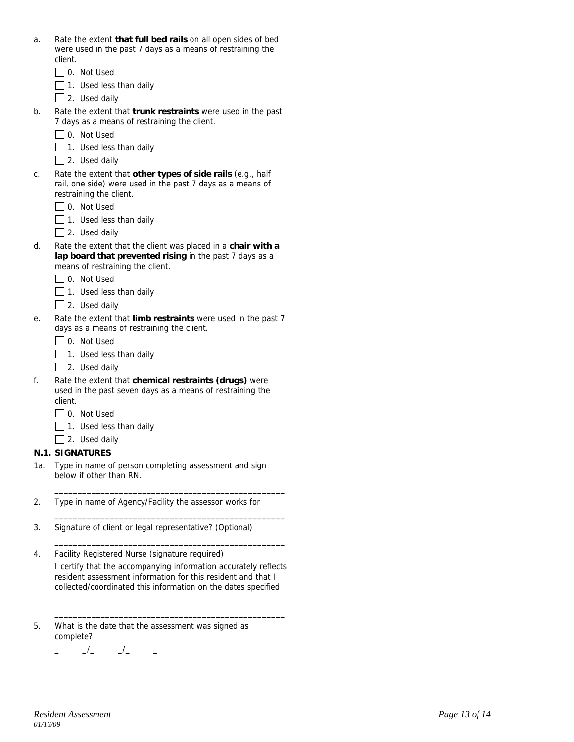| a. | Rate the extent that full bed rails on all open sides of bed |
|----|--------------------------------------------------------------|
|    | were used in the past 7 days as a means of restraining the   |
|    | client.                                                      |

- □ 0. Not Used
- $\Box$  1. Used less than daily
- $\Box$  2. Used daily
- b. Rate the extent that **trunk restraints** were used in the past 7 days as a means of restraining the client.
	- □ 0. Not Used
	- $\Box$  1. Used less than daily
	- $\Box$  2. Used daily
- c. Rate the extent that **other types of side rails** (e.g., half rail, one side) were used in the past 7 days as a means of restraining the client.
	- □ 0. Not Used
	- $\Box$  1. Used less than daily
	- $\Box$  2. Used daily
- d. Rate the extent that the client was placed in a **chair with a lap board that prevented rising** in the past 7 days as a means of restraining the client.
	- □ 0. Not Used
	- $\Box$  1. Used less than daily
	- 2. Used daily
- e. Rate the extent that **limb restraints** were used in the past 7 days as a means of restraining the client.
	- □ 0. Not Used
	- $\Box$  1. Used less than daily
	- $\Box$  2. Used daily
- f. Rate the extent that **chemical restraints (drugs)** were used in the past seven days as a means of restraining the client.
	- □ 0. Not Used
	- $\Box$  1. Used less than daily
	- $\Box$  2. Used daily

#### **N.1. SIGNATURES**

- 1a. Type in name of person completing assessment and sign below if other than RN.
- 2. Type in name of Agency/Facility the assessor works for
- 3. Signature of client or legal representative? (Optional)
- 4. Facility Registered Nurse (signature required)

I certify that the accompanying information accurately reflects resident assessment information for this resident and that I collected/coordinated this information on the dates specified

 $\frac{1}{\sqrt{2}}$  ,  $\frac{1}{\sqrt{2}}$  ,  $\frac{1}{\sqrt{2}}$  ,  $\frac{1}{\sqrt{2}}$  ,  $\frac{1}{\sqrt{2}}$  ,  $\frac{1}{\sqrt{2}}$  ,  $\frac{1}{\sqrt{2}}$  ,  $\frac{1}{\sqrt{2}}$  ,  $\frac{1}{\sqrt{2}}$  ,  $\frac{1}{\sqrt{2}}$  ,  $\frac{1}{\sqrt{2}}$  ,  $\frac{1}{\sqrt{2}}$  ,  $\frac{1}{\sqrt{2}}$  ,  $\frac{1}{\sqrt{2}}$  ,  $\frac{1}{\sqrt{2}}$ 

\_\_\_\_\_\_\_\_\_\_\_\_\_\_\_\_\_\_\_\_\_\_\_\_\_\_\_\_\_\_\_\_\_\_\_\_\_\_\_\_\_\_\_\_\_\_\_\_\_\_

\_\_\_\_\_\_\_\_\_\_\_\_\_\_\_\_\_\_\_\_\_\_\_\_\_\_\_\_\_\_\_\_\_\_\_\_\_\_\_\_\_\_\_\_\_\_\_\_\_\_

\_\_\_\_\_\_\_\_\_\_\_\_\_\_\_\_\_\_\_\_\_\_\_\_\_\_\_\_\_\_\_\_\_\_\_\_\_\_\_\_\_\_\_\_\_\_\_\_\_\_

5. What is the date that the assessment was signed as complete?

 $\frac{1}{\sqrt{2}}$   $\frac{1}{\sqrt{2}}$   $\frac{1}{\sqrt{2}}$   $\frac{1}{\sqrt{2}}$